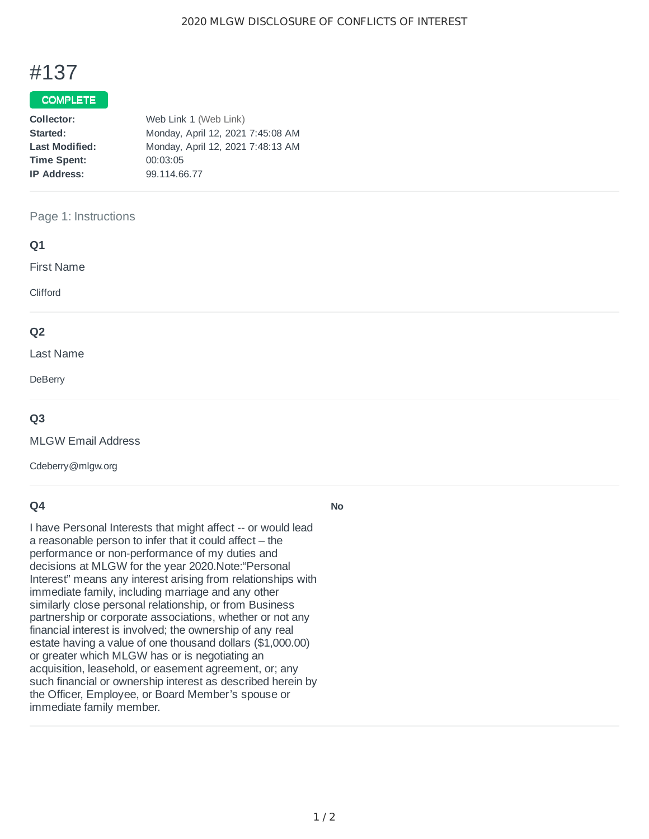# #137

# COMPLETE

| Collector:            | Web Link 1 (Web Link)             |  |  |
|-----------------------|-----------------------------------|--|--|
| Started:              | Monday, April 12, 2021 7:45:08 AM |  |  |
| <b>Last Modified:</b> | Monday, April 12, 2021 7:48:13 AM |  |  |
| <b>Time Spent:</b>    | 00:03:05                          |  |  |
| <b>IP Address:</b>    | 99.114.66.77                      |  |  |

# Page 1: Instructions

| Q1                |  |  |  |
|-------------------|--|--|--|
| <b>First Name</b> |  |  |  |
| Clifford          |  |  |  |
| Q <sub>2</sub>    |  |  |  |
| Last Name         |  |  |  |
| DeBerry           |  |  |  |
| $\sim$ $\sim$     |  |  |  |

## **Q3**

MLGW Email Address

Cdeberry@mlgw.org

## **Q4**

I have Personal Interests that might affect -- or would lead a reasonable person to infer that it could affect – the performance or non-performance of my duties and decisions at MLGW for the year 2020.Note:"Personal Interest" means any interest arising from relationships with immediate family, including marriage and any other similarly close personal relationship, or from Business partnership or corporate associations, whether or not any financial interest is involved; the ownership of any real estate having a value of one thousand dollars (\$1,000.00) or greater which MLGW has or is negotiating an acquisition, leasehold, or easement agreement, or; any such financial or ownership interest as described herein by the Officer, Employee, or Board Member's spouse or immediate family member.

**No**